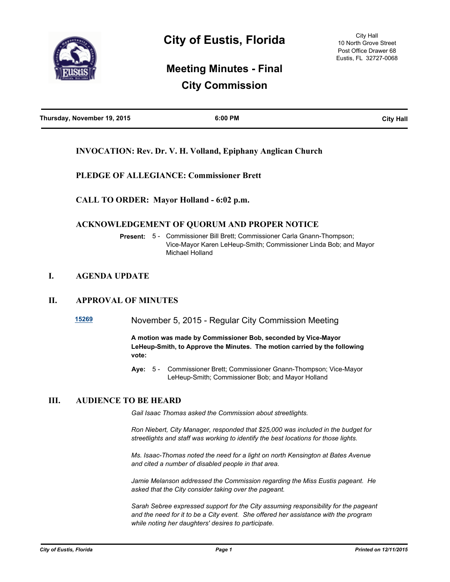

# **Meeting Minutes - Final City Commission**

| Thursday, November 19, 2015 | 6:00 PM | <b>City Hall</b> |
|-----------------------------|---------|------------------|
|                             |         |                  |

## **INVOCATION: Rev. Dr. V. H. Volland, Epiphany Anglican Church**

## **PLEDGE OF ALLEGIANCE: Commissioner Brett**

**CALL TO ORDER: Mayor Holland - 6:02 p.m.**

## **ACKNOWLEDGEMENT OF QUORUM AND PROPER NOTICE**

**Present:** 5 - Commissioner Bill Brett; Commissioner Carla Gnann-Thompson; Vice-Mayor Karen LeHeup-Smith; Commissioner Linda Bob; and Mayor Michael Holland

## **I. AGENDA UPDATE**

## **II. APPROVAL OF MINUTES**

**[15269](http://eustis.legistar.com/gateway.aspx?m=l&id=3109)** November 5, 2015 - Regular City Commission Meeting

**A motion was made by Commissioner Bob, seconded by Vice-Mayor LeHeup-Smith, to Approve the Minutes. The motion carried by the following vote:**

Aye: 5 - Commissioner Brett; Commissioner Gnann-Thompson; Vice-Mayor LeHeup-Smith; Commissioner Bob; and Mayor Holland

## **III. AUDIENCE TO BE HEARD**

*Gail Isaac Thomas asked the Commission about streetlights.*

*Ron Niebert, City Manager, responded that \$25,000 was included in the budget for streetlights and staff was working to identify the best locations for those lights.*

*Ms. Isaac-Thomas noted the need for a light on north Kensington at Bates Avenue and cited a number of disabled people in that area.*

*Jamie Melanson addressed the Commission regarding the Miss Eustis pageant. He asked that the City consider taking over the pageant.*

*Sarah Sebree expressed support for the City assuming responsibility for the pageant and the need for it to be a City event. She offered her assistance with the program while noting her daughters' desires to participate.*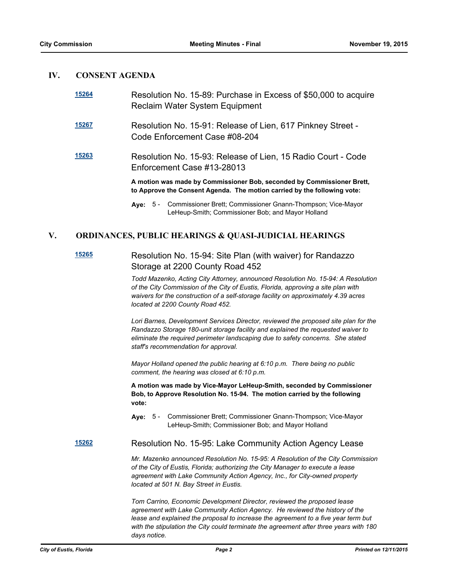## **IV. CONSENT AGENDA**

| 15264 | Resolution No. 15-89: Purchase in Excess of \$50,000 to acquire<br>Reclaim Water System Equipment                                                  |  |
|-------|----------------------------------------------------------------------------------------------------------------------------------------------------|--|
| 15267 | Resolution No. 15-91: Release of Lien, 617 Pinkney Street -<br>Code Enforcement Case #08-204                                                       |  |
| 15263 | Resolution No. 15-93: Release of Lien, 15 Radio Court - Code<br>Enforcement Case #13-28013                                                         |  |
|       | A motion was made by Commissioner Bob, seconded by Commissioner Brett,<br>to Approve the Consent Agenda. The motion carried by the following vote: |  |
|       | Aye: 5 - Commissioner Brett; Commissioner Gnann-Thompson; Vice-Mayor<br>LeHeup-Smith; Commissioner Bob; and Mayor Holland                          |  |

## **V. ORDINANCES, PUBLIC HEARINGS & QUASI-JUDICIAL HEARINGS**

## **[15265](http://eustis.legistar.com/gateway.aspx?m=l&id=3105)** Resolution No. 15-94: Site Plan (with waiver) for Randazzo Storage at 2200 County Road 452

*Todd Mazenko, Acting City Attorney, announced Resolution No. 15-94: A Resolution of the City Commission of the City of Eustis, Florida, approving a site plan with waivers for the construction of a self-storage facility on approximately 4.39 acres located at 2200 County Road 452.*

*Lori Barnes, Development Services Director, reviewed the proposed site plan for the Randazzo Storage 180-unit storage facility and explained the requested waiver to eliminate the required perimeter landscaping due to safety concerns. She stated staff's recommendation for approval.*

*Mayor Holland opened the public hearing at 6:10 p.m. There being no public comment, the hearing was closed at 6:10 p.m.*

**A motion was made by Vice-Mayor LeHeup-Smith, seconded by Commissioner Bob, to Approve Resolution No. 15-94. The motion carried by the following vote:**

Aye: 5 - Commissioner Brett; Commissioner Gnann-Thompson; Vice-Mayor LeHeup-Smith; Commissioner Bob; and Mayor Holland

**[15262](http://eustis.legistar.com/gateway.aspx?m=l&id=3102)** Resolution No. 15-95: Lake Community Action Agency Lease

*Mr. Mazenko announced Resolution No. 15-95: A Resolution of the City Commission of the City of Eustis, Florida; authorizing the City Manager to execute a lease agreement with Lake Community Action Agency, Inc., for City-owned property located at 501 N. Bay Street in Eustis.*

*Tom Carrino, Economic Development Director, reviewed the proposed lease agreement with Lake Community Action Agency. He reviewed the history of the lease and explained the proposal to increase the agreement to a five year term but with the stipulation the City could terminate the agreement after three years with 180 days notice.*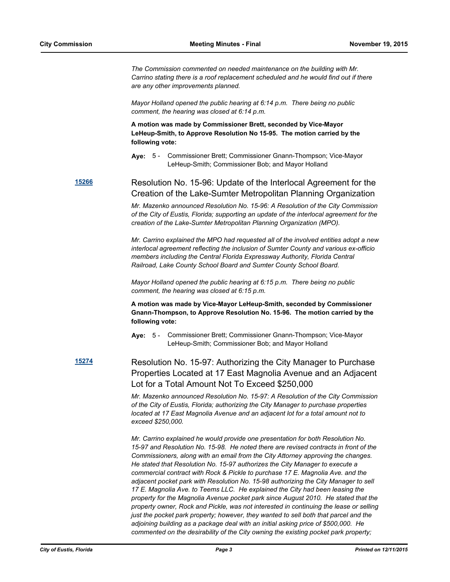*The Commission commented on needed maintenance on the building with Mr. Carrino stating there is a roof replacement scheduled and he would find out if there are any other improvements planned.*

*Mayor Holland opened the public hearing at 6:14 p.m. There being no public comment, the hearing was closed at 6:14 p.m.*

**A motion was made by Commissioner Brett, seconded by Vice-Mayor LeHeup-Smith, to Approve Resolution No 15-95. The motion carried by the following vote:**

**Aye:** Commissioner Brett; Commissioner Gnann-Thompson; Vice-Mayor LeHeup-Smith; Commissioner Bob; and Mayor Holland Aye: 5 -

**[15266](http://eustis.legistar.com/gateway.aspx?m=l&id=3106)** Resolution No. 15-96: Update of the Interlocal Agreement for the Creation of the Lake-Sumter Metropolitan Planning Organization

> *Mr. Mazenko announced Resolution No. 15-96: A Resolution of the City Commission of the City of Eustis, Florida; supporting an update of the interlocal agreement for the creation of the Lake-Sumter Metropolitan Planning Organization (MPO).*

> *Mr. Carrino explained the MPO had requested all of the involved entities adopt a new interlocal agreement reflecting the inclusion of Sumter County and various ex-officio members including the Central Florida Expressway Authority, Florida Central Railroad, Lake County School Board and Sumter County School Board.*

*Mayor Holland opened the public hearing at 6:15 p.m. There being no public comment, the hearing was closed at 6:15 p.m.*

**A motion was made by Vice-Mayor LeHeup-Smith, seconded by Commissioner Gnann-Thompson, to Approve Resolution No. 15-96. The motion carried by the following vote:**

Aye: 5 - Commissioner Brett; Commissioner Gnann-Thompson; Vice-Mayor LeHeup-Smith; Commissioner Bob; and Mayor Holland

**[15274](http://eustis.legistar.com/gateway.aspx?m=l&id=3114)** Resolution No. 15-97: Authorizing the City Manager to Purchase Properties Located at 17 East Magnolia Avenue and an Adjacent Lot for a Total Amount Not To Exceed \$250,000

> *Mr. Mazenko announced Resolution No. 15-97: A Resolution of the City Commission of the City of Eustis, Florida; authorizing the City Manager to purchase properties located at 17 East Magnolia Avenue and an adjacent lot for a total amount not to exceed \$250,000.*

> *Mr. Carrino explained he would provide one presentation for both Resolution No. 15-97 and Resolution No. 15-98. He noted there are revised contracts in front of the Commissioners, along with an email from the City Attorney approving the changes. He stated that Resolution No. 15-97 authorizes the City Manager to execute a commercial contract with Rock & Pickle to purchase 17 E. Magnolia Ave. and the adjacent pocket park with Resolution No. 15-98 authorizing the City Manager to sell 17 E. Magnolia Ave. to Teems LLC. He explained the City had been leasing the property for the Magnolia Avenue pocket park since August 2010. He stated that the property owner, Rock and Pickle, was not interested in continuing the lease or selling just the pocket park property; however, they wanted to sell both that parcel and the adjoining building as a package deal with an initial asking price of \$500,000. He commented on the desirability of the City owning the existing pocket park property;*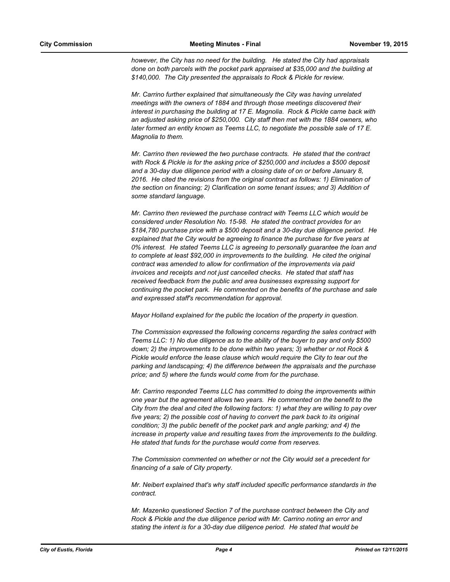*however, the City has no need for the building. He stated the City had appraisals done on both parcels with the pocket park appraised at \$35,000 and the building at \$140,000. The City presented the appraisals to Rock & Pickle for review.* 

*Mr. Carrino further explained that simultaneously the City was having unrelated meetings with the owners of 1884 and through those meetings discovered their interest in purchasing the building at 17 E. Magnolia. Rock & Pickle came back with an adjusted asking price of \$250,000. City staff then met with the 1884 owners, who later formed an entity known as Teems LLC, to negotiate the possible sale of 17 E. Magnolia to them.*

*Mr. Carrino then reviewed the two purchase contracts. He stated that the contract with Rock & Pickle is for the asking price of \$250,000 and includes a \$500 deposit and a 30-day due diligence period with a closing date of on or before January 8,*  2016. He cited the revisions from the original contract as follows: 1) Elimination of *the section on financing; 2) Clarification on some tenant issues; and 3) Addition of some standard language.*

*Mr. Carrino then reviewed the purchase contract with Teems LLC which would be considered under Resolution No. 15-98. He stated the contract provides for an \$184,780 purchase price with a \$500 deposit and a 30-day due diligence period. He explained that the City would be agreeing to finance the purchase for five years at 0% interest. He stated Teems LLC is agreeing to personally guarantee the loan and to complete at least \$92,000 in improvements to the building. He cited the original contract was amended to allow for confirmation of the improvements via paid invoices and receipts and not just cancelled checks. He stated that staff has received feedback from the public and area businesses expressing support for continuing the pocket park. He commented on the benefits of the purchase and sale and expressed staff's recommendation for approval.*

*Mayor Holland explained for the public the location of the property in question.*

*The Commission expressed the following concerns regarding the sales contract with Teems LLC: 1) No due diligence as to the ability of the buyer to pay and only \$500 down; 2) the improvements to be done within two years; 3) whether or not Rock & Pickle would enforce the lease clause which would require the City to tear out the parking and landscaping; 4) the difference between the appraisals and the purchase price; and 5) where the funds would come from for the purchase.*

*Mr. Carrino responded Teems LLC has committed to doing the improvements within one year but the agreement allows two years. He commented on the benefit to the City from the deal and cited the following factors: 1) what they are willing to pay over five years; 2) the possible cost of having to convert the park back to its original condition; 3) the public benefit of the pocket park and angle parking; and 4) the increase in property value and resulting taxes from the improvements to the building. He stated that funds for the purchase would come from reserves.*

*The Commission commented on whether or not the City would set a precedent for financing of a sale of City property.*

*Mr. Neibert explained that's why staff included specific performance standards in the contract.*

*Mr. Mazenko questioned Section 7 of the purchase contract between the City and Rock & Pickle and the due diligence period with Mr. Carrino noting an error and stating the intent is for a 30-day due diligence period. He stated that would be*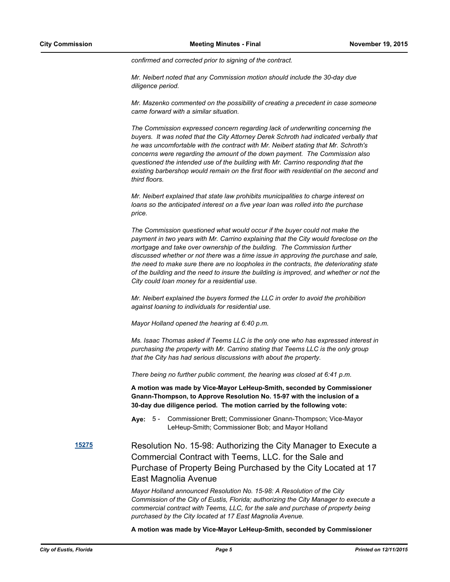*confirmed and corrected prior to signing of the contract.*

*Mr. Neibert noted that any Commission motion should include the 30-day due diligence period.*

*Mr. Mazenko commented on the possibility of creating a precedent in case someone came forward with a similar situation.*

*The Commission expressed concern regarding lack of underwriting concerning the buyers. It was noted that the City Attorney Derek Schroth had indicated verbally that he was uncomfortable with the contract with Mr. Neibert stating that Mr. Schroth's concerns were regarding the amount of the down payment. The Commission also questioned the intended use of the building with Mr. Carrino responding that the existing barbershop would remain on the first floor with residential on the second and third floors.*

*Mr. Neibert explained that state law prohibits municipalities to charge interest on loans so the anticipated interest on a five year loan was rolled into the purchase price.*

*The Commission questioned what would occur if the buyer could not make the payment in two years with Mr. Carrino explaining that the City would foreclose on the mortgage and take over ownership of the building. The Commission further discussed whether or not there was a time issue in approving the purchase and sale, the need to make sure there are no loopholes in the contracts, the deteriorating state of the building and the need to insure the building is improved, and whether or not the City could loan money for a residential use.*

*Mr. Neibert explained the buyers formed the LLC in order to avoid the prohibition against loaning to individuals for residential use.*

*Mayor Holland opened the hearing at 6:40 p.m.*

*Ms. Isaac Thomas asked if Teems LLC is the only one who has expressed interest in purchasing the property with Mr. Carrino stating that Teems LLC is the only group that the City has had serious discussions with about the property.*

*There being no further public comment, the hearing was closed at 6:41 p.m.*

**A motion was made by Vice-Mayor LeHeup-Smith, seconded by Commissioner Gnann-Thompson, to Approve Resolution No. 15-97 with the inclusion of a 30-day due diligence period. The motion carried by the following vote:**

Aye: 5 - Commissioner Brett; Commissioner Gnann-Thompson; Vice-Mayor LeHeup-Smith; Commissioner Bob; and Mayor Holland

## **[15275](http://eustis.legistar.com/gateway.aspx?m=l&id=3115)** Resolution No. 15-98: Authorizing the City Manager to Execute a Commercial Contract with Teems, LLC. for the Sale and Purchase of Property Being Purchased by the City Located at 17 East Magnolia Avenue

*Mayor Holland announced Resolution No. 15-98: A Resolution of the City Commission of the City of Eustis, Florida; authorizing the City Manager to execute a commercial contract with Teems, LLC, for the sale and purchase of property being purchased by the City located at 17 East Magnolia Avenue.*

**A motion was made by Vice-Mayor LeHeup-Smith, seconded by Commissioner**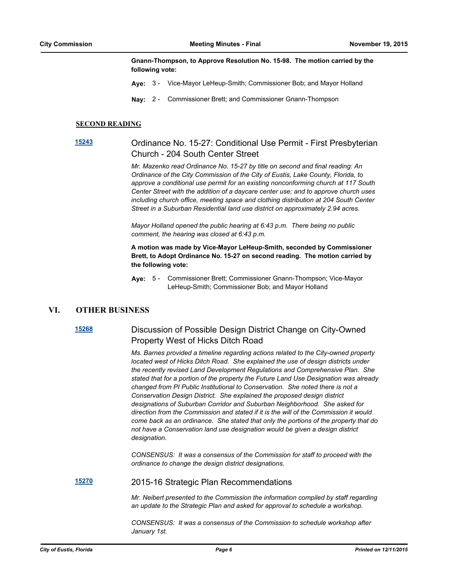**Gnann-Thompson, to Approve Resolution No. 15-98. The motion carried by the following vote:**

- **Aye:** 3 Vice-Mayor LeHeup-Smith; Commissioner Bob; and Mayor Holland
- **Nay:** 2 Commissioner Brett; and Commissioner Gnann-Thompson

#### **SECOND READING**

## **[15243](http://eustis.legistar.com/gateway.aspx?m=l&id=3083)** Ordinance No. 15-27: Conditional Use Permit - First Presbyterian Church - 204 South Center Street

*Mr. Mazenko read Ordinance No. 15-27 by title on second and final reading: An Ordinance of the City Commission of the City of Eustis, Lake County, Florida, to approve a conditional use permit for an existing nonconforming church at 117 South Center Street with the addition of a daycare center use; and to approve church uses including church office, meeting space and clothing distribution at 204 South Center Street in a Suburban Residential land use district on approximately 2.94 acres.*

*Mayor Holland opened the public hearing at 6:43 p.m. There being no public comment, the hearing was closed at 6:43 p.m.*

### **A motion was made by Vice-Mayor LeHeup-Smith, seconded by Commissioner Brett, to Adopt Ordinance No. 15-27 on second reading. The motion carried by the following vote:**

**Aye:** Commissioner Brett; Commissioner Gnann-Thompson; Vice-Mayor LeHeup-Smith; Commissioner Bob; and Mayor Holland Aye: 5 -

## **VI. OTHER BUSINESS**

## **[15268](http://eustis.legistar.com/gateway.aspx?m=l&id=3108)** Discussion of Possible Design District Change on City-Owned Property West of Hicks Ditch Road

*Ms. Barnes provided a timeline regarding actions related to the City-owned property located west of Hicks Ditch Road. She explained the use of design districts under the recently revised Land Development Regulations and Comprehensive Plan. She stated that for a portion of the property the Future Land Use Designation was already changed from PI Public Institutional to Conservation. She noted there is not a Conservation Design District. She explained the proposed design district designations of Suburban Corridor and Suburban Neighborhood. She asked for direction from the Commission and stated if it is the will of the Commission it would come back as an ordinance. She stated that only the portions of the property that do not have a Conservation land use designation would be given a design district designation.*

*CONSENSUS: It was a consensus of the Commission for staff to proceed with the ordinance to change the design district designations.*

**[15270](http://eustis.legistar.com/gateway.aspx?m=l&id=3110)** 2015-16 Strategic Plan Recommendations

*Mr. Neibert presented to the Commission the information compiled by staff regarding an update to the Strategic Plan and asked for approval to schedule a workshop.*

*CONSENSUS: It was a consensus of the Commission to schedule workshop after January 1st.*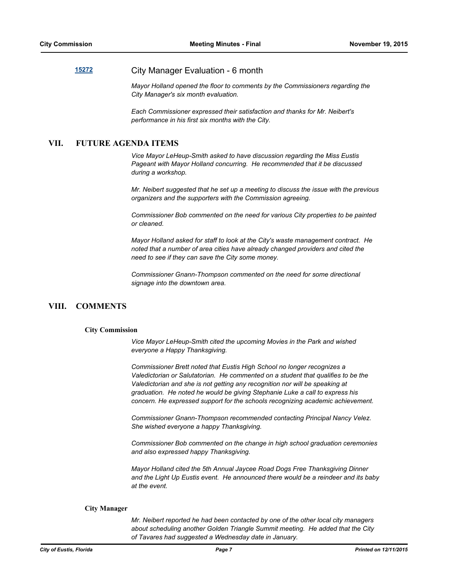## **[15272](http://eustis.legistar.com/gateway.aspx?m=l&id=3112)** City Manager Evaluation - 6 month

*Mayor Holland opened the floor to comments by the Commissioners regarding the City Manager's six month evaluation.*

*Each Commissioner expressed their satisfaction and thanks for Mr. Neibert's performance in his first six months with the City.*

## **VII. FUTURE AGENDA ITEMS**

*Vice Mayor LeHeup-Smith asked to have discussion regarding the Miss Eustis Pageant with Mayor Holland concurring. He recommended that it be discussed during a workshop.*

*Mr. Neibert suggested that he set up a meeting to discuss the issue with the previous organizers and the supporters with the Commission agreeing.*

*Commissioner Bob commented on the need for various City properties to be painted or cleaned.*

*Mayor Holland asked for staff to look at the City's waste management contract. He noted that a number of area cities have already changed providers and cited the need to see if they can save the City some money.*

*Commissioner Gnann-Thompson commented on the need for some directional signage into the downtown area.*

## **VIII. COMMENTS**

#### **City Commission**

*Vice Mayor LeHeup-Smith cited the upcoming Movies in the Park and wished everyone a Happy Thanksgiving.*

*Commissioner Brett noted that Eustis High School no longer recognizes a Valedictorian or Salutatorian. He commented on a student that qualifies to be the*  Valedictorian and she is not getting any recognition nor will be speaking at *graduation. He noted he would be giving Stephanie Luke a call to express his concern. He expressed support for the schools recognizing academic achievement.*

*Commissioner Gnann-Thompson recommended contacting Principal Nancy Velez. She wished everyone a happy Thanksgiving.*

*Commissioner Bob commented on the change in high school graduation ceremonies and also expressed happy Thanksgiving.*

*Mayor Holland cited the 5th Annual Jaycee Road Dogs Free Thanksgiving Dinner and the Light Up Eustis event. He announced there would be a reindeer and its baby at the event.*

#### **City Manager**

*Mr. Neibert reported he had been contacted by one of the other local city managers about scheduling another Golden Triangle Summit meeting. He added that the City of Tavares had suggested a Wednesday date in January.*